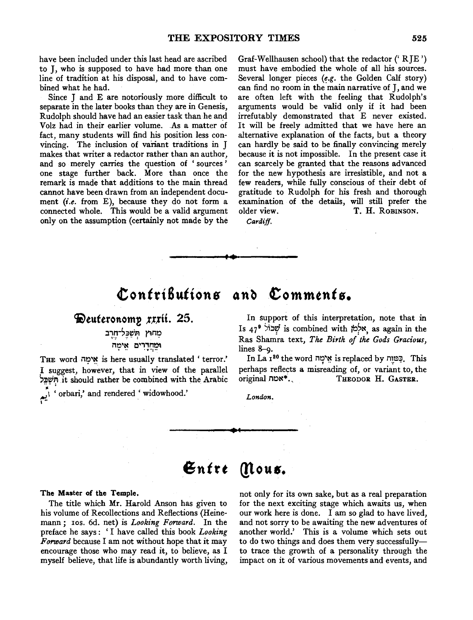have been included under this last head are ascribed to J, who is supposed to have had more than one line of tradition at his disposal, and to have combined what he had.

Since J and E are notoriously more difficult to separate in the later books than they are in Genesis, Rudolph should have had an easier task than he and Volz had in their earlier volume. As a matter of fact, many students will find his position less convincing. The inclusion of variant traditions in J makes that writer a redactor rather than an author, and so merely carries the question of ' sources ' one stage further back. More than once the remark is made that additions to the main thread cannot have been drawn from an independent document *(i.e.* from E), because they do not form a connected whole. This would be a valid argument only on the assumption (certainly not made by the Graf-Wellhausen school) that the redactor ('RIE') must have embodied the whole of all his sources. Several longer pieces  $(e.g.$  the Golden Calf story) can find no room in the main narrative of J, and we are often left with the feeling that Rudolph's arguments would be valid only if it had been irrefutably demonstrated that E never existed. It will be freely admitted that we have here an alternative explanation of the facts, but a theory can hardly be said to be finally convincing merely because it is not impossible. In the present case it can scarcely be granted that the reasons advanced for the new hypothesis are irresistible, and not a few readers, while fully conscious of their debt of gratitude to Rudolph for his fresh and thorough examination of the details, will still prefer the older view. T. H. ROBINSON.

*Cardiff.* 

## Contributions and Comments.

### Deuteronomy rrrii. 25.

# מְחוֹץ הְשַׁכֵּל־חְרֶב

**ימֵחֲדָרִים אֵימָר** 

THE word "אימה is here usually translated 'terror." I suggest, however, that in view of the parallel ~~~T;I it should rather be combined with the Arabic ...

orbari,' and rendered ' widowhood.'

In support of this interpretation, note that in Is 47<sup>9</sup>  $\frac{1}{2}$ אלְמֹן is combined with  $\frac{1}{2}$ , as again in the Ras Shamra text, *The Birth of the Gods Gracious,*  lines 8-9.

In La 1<sup>20</sup> the word "אימה is replaced by Dis. This perhaps reflects a misreading of, or variant to, the original **NATEL**. THEODOR H. GASTER.

*London.* 

#### **6ntrt (!lou•.**

The Master of the Temple.

The title which Mr. Harold Anson has given to his volume of Recollections and Reflections (Heinemann; Ios. 6d. net) is *Looking Forward.* In the preface he says: 'I have called this book *Looking Forward* because I am not without hope that it may encourage those who may read it, to believe, as I myself believe, that life is abundantly worth living,

not only for its own sake, but as a real preparation for the next exciting stage which awaits us, when our work here is done. I am so glad to have lived, and not sorry to be awaiting the new adventures of another world.' This is a volume which sets out to do two things and does them very successfullyto trace the growth of a personality through the impact on it of various movements and events, and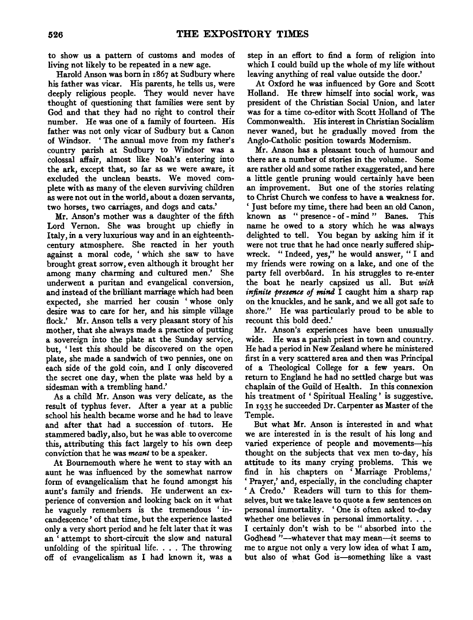to show us a pattern of customs and modes of living not likely to be repeated in a new age.

Harold Anson was born in 1867 at Sudbury where his father was vicar. His parents, he tells us, were deeply religious people. They would never have thought of questioning that families were sent by God and that they had no right to control their number. He was one of a family of fourteen. His father was not only vicar of Sudbury but a Canon of Windsor. 'The annual move from my father's country parish at Sudbury to Windsor was a colossal affair, almost like Noah's entering into the ark, except that, so far as we were aware, it excluded the unclean beasts. We moved complete with as many of the eleven surviving children as were not out in the world, about a dozen servants, two horses, two carriages, and dogs and cats.'

Mr. Anson's mother was a daughter of the fifth Lord Vernon. She was brought up chiefly in Italy, in a very luxurious way and in an eighteenthcentury atmosphere. She reacted in her youth against a moral code, ' which she saw to have brought great sorrow, even although it brought her among many charming and cultured men.' She underwent a puritan and evangelical conversion, and instead of the brilliant marriage which had been expected, she married her cousin 'whose only desire was to care for her, and his simple village flock.' Mr. Anson tells a very pleasant story of his mother, that she always made a practice of putting a sovereign into the plate at the Sunday service, but, ' lest this should be discovered on the open plate, she made a sandwich of two pennies, one on each side of the gold coin, and I only discovered the secret one day, when the plate was held by a sidesman with a trembling hand.'

As a child Mr. Anson was very delicate, as the result of typhus fever. After a year at a public school his health became worse and he had to leave and after that had a succession of tutors. He stammered badly, also, but he was able to overcome this, attributing this fact largely to his own deep conviction that he was *meant* to be a speaker.

At Bournemouth where he went to stay with an aunt he was influenced by the somewhat narrow form of evangelicalism that he found amongst his aunt's family and friends. He underwent an experience of conversion and looking back on it what he vaguely remembers is the tremendous ' incandescence ' of that time, but the experience lasted only a very short period and he felt later that it was an ' attempt to short-circuit the slow and natural unfolding of the spiritual life. . . . The throwing off of evangelicalism as I had known it, was a

step in an effort to find a form of religion into which I could build up the whole of my life without leaving anything of real value outside the door.'

At Oxford he was influenced by Gore and Scott Holland. He threw himself into social work, was president of the Christian Social Union, and later was for a time co-editor with Scott Holland of The Commonwealth. His interest in Christian Socialism never waned, but he gradually moved from the Anglo-Catholic position towards Modernism.

Mr. Anson has a pleasant touch of humour and there are a number of stories in the volume. Some are rather old and some rather exaggerated, and here a little gentle pruning would certainly have been an improvement. But one of the stories relating to Christ Church we confess to have a weakness for. 'Just before my time, there had been an old Canon, known as " presence - of - mind " Banes. This name he owed to a story which he was always delighted to tell. You began by asking him if it were not true that he had once nearly suffered shipwreck. "Indeed, yes," he would answer, "I and my friends were rowing on a lake, and one of the party fell overboard. In his struggles to re-enter the boat he nearly capsized us all. But *with infinite presence of mind* I caught him a sharp rap on the knuckles, and he sank, and we all got safe to shore." He was particularly proud to be able to recount this bold deed.'

Mr. Anson's experiences have been unusually wide. He was a parish priest in town and country. He had a period in New Zealand where he ministered first in a very scattered area and then was Principal of a Theological College for a few years. On return to England he had no settled charge but was chaplain of the Guild of Health. In this connexion his treatment of ' Spiritual Healing ' is suggestive. In 1935 he succeeded Dr. Carpenter as Master of the Temple.

But what Mr. Anson is interested in and what we are interested in is the result of his long and varied experience of people and movements-his thought on the subjects that vex men to-day, his attitude to its many crying problems. This we find in his chapters on ' Marriage Problems,' 'Prayer,' and, especially, in the concluding chapter ' A Credo.' Readers will turn to this for themselves, but we take leave to quote a few sentences on personal immortality. 'One is often asked to-day whether one believes in personal immortality. . . . I certainly don't wish to be " absorbed into the Godhead "-whatever that may mean-it seems to me to argue not only a very low idea of what I am, but also of what God is-something like a vast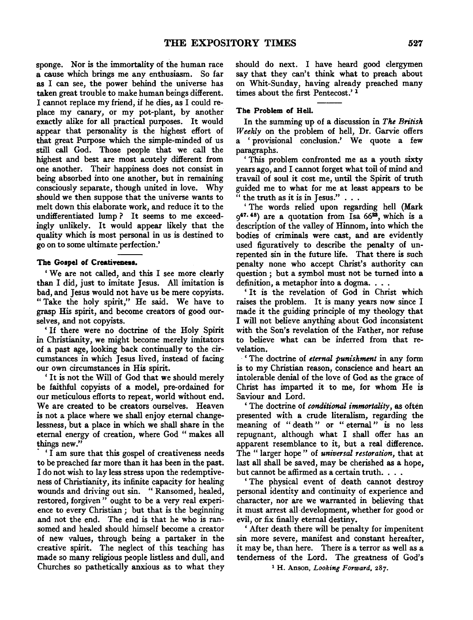sponge. Nor is the immortality of the human race a cause which brings me any enthusiasm. So far as I can see, the power behind the universe has taken great trouble to make human beings different. I cannot replace my friend, if he dies, as I could replace my canary, or my pot-plant, by another exactly alike for all practical purposes. It would appear that personality is the highest effort of that great Purpose which the simple-minded of us still call God. Those people that we call the highest and best are most acutely different from one another. Their happiness does not consist in being absorbed into one another, but in remaining consciously separate, though united in love. Why should we then suppose that the universe wants to melt down this elaborate work, and reduce it to the undifferentiated lump? It seems to me exceedingly unlikely. It would appear likely that the quality which is most personal in us is destined to go on to some ultimate perfection.'

#### The Gospel of Creativeness.

'We are not called, and this I see more clearly than I did, just to imitate Jesus. All imitation is bad, and Jesus would not have us be mere copyists. "Take the holy spirit," He said. We have to grasp His spirit, and become creators of good ourselves, and not copyists.

' If there were no doctrine of the Holy Spirit in Christianity, we might become merely imitators of a past age, looking back continually to the circumstances in which Jesus lived, instead of facing our own circumstances in His spirit.

' It is not the Will of God that we should merely be faithful copyists of a model, pre-ordained for our meticulous efforts to repeat, world without end. We are created to be creators ourselves. Heaven is not a place where we shall enjoy eternal changelessness, but a place in which we shall share in the eternal energy of creation, where God " makes all things new.''

· ' I am sure that this gospel of creativeness needs to be preached far more than it has been in the past. I do not wish to lay less stress upon the redemptiveness of Christianity, its infinite capacity for healing wounds and driving out sin. "Ransomed, healed, restored, forgiven" ought to be a very real experience to every Christian ; but that is the beginning and not the end. The end is that he who is ransomed and healed should himself become a creator of new values, through being a partaker in the creative spirit. The neglect of this teaching has made so many religious people listless and dull, and Churches so pathetically anxious as to what they should do next. I have heard good clergymen say that they can't think what to preach about on Whit-Sunday, having already preached many times about the first Pentecost.' 1

#### The Problem of Hell.

In the summing up of a discussion in *The British Weekly* on the problem of hell, Dr. Garvie offers ' provisional conclusion.' We quote a few paragraphs.

' This problem confronted me as a youth sixty years ago, and I cannot forget what toil of mind and travail of soul it cost me, until the Spirit of truth guided me to what for me at least appears to be the truth as it is in Jesus."  $\ldots$ 

' The words relied upon regarding hell (Mark  $9^{47.48}$ ) are a quotation from Isa 66<sup>23</sup>, which is a description of the valley of Hinnom, into which the bodies of criminals were cast, and are evidently used figuratively to describe the penalty of unrepented sin in the future life. That there is such penalty none who accept Christ's authority can question ; but a symbol must not be turned into a definition, a metaphor into a dogma. . . .

' It is the revelation of God in Christ which raises the problem. It is many years now since I made it the guiding principle of my theology that I will not believe anything about God inconsistent with the Son's revelation of the Father, nor refuse to believe what can be inferred from that revelation.

· ' The doctrine of *eternal punishment* in any form is to my Christian reason, conscience and heart an intolerable denial of the love of God as the grace of Christ has imparted it to me, for whom He is Saviour and Lord.

'The doctrine of *conditional immortality,* as often presented with a crude literalism, regarding the meaning of "death" or " eternal" is no less repugnant, although what I shall offer has an apparent resemblance to it, but a real difference. The " larger hope " of *universal restoration,* that at last all shall be saved, may be cherished as a hope, but cannot be affirmed as a certain truth. . . .

' The physical event of death cannot destroy personal identity and continuity of experience and character, nor are we warranted in believing that it must arrest all development, whether for good or evil, or fix finally eternal destiny.

' After death there will be penalty for impenitent sin more severe, manifest and constant hereafter, it may be, than here. There is a terror as well as a tenderness of the Lord. The greatness of God's

1 H. Anson, *Looking Forward,* 287.